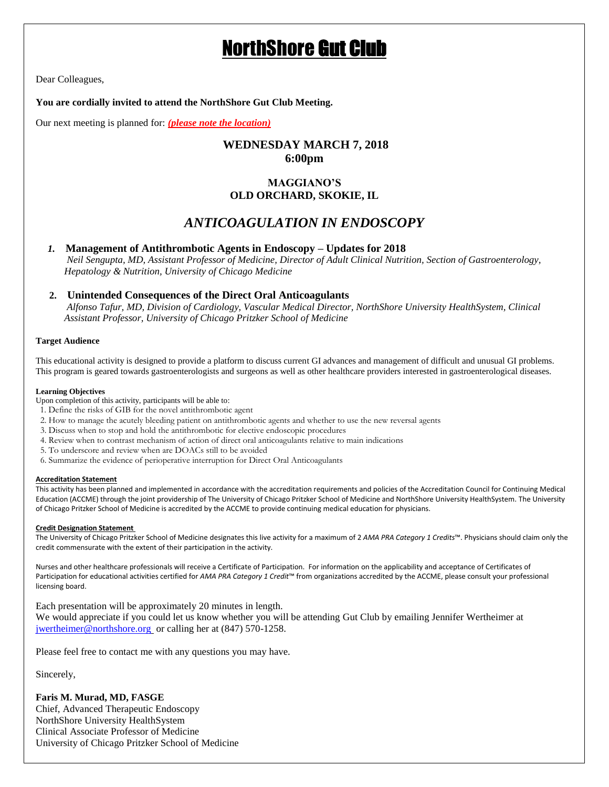# NorthShore Gut Club

Dear Colleagues,

#### **You are cordially invited to attend the NorthShore Gut Club Meeting.**

Our next meeting is planned for: *(please note the location)*

## **WEDNESDAY MARCH 7, 2018 6:00pm**

### **MAGGIANO'S OLD ORCHARD, SKOKIE, IL**

# *ANTICOAGULATION IN ENDOSCOPY*

#### *1.* **Management of Antithrombotic Agents in Endoscopy – Updates for 2018**

 *Neil Sengupta, MD, Assistant Professor of Medicine, Director of Adult Clinical Nutrition, Section of Gastroenterology, Hepatology & Nutrition, University of Chicago Medicine*

#### **2. Unintended Consequences of the Direct Oral Anticoagulants**

*Alfonso Tafur, MD, Division of Cardiology, Vascular Medical Director, NorthShore University HealthSystem, Clinical Assistant Professor, University of Chicago Pritzker School of Medicine*

#### **Target Audience**

This educational activity is designed to provide a platform to discuss current GI advances and management of difficult and unusual GI problems. This program is geared towards gastroenterologists and surgeons as well as other healthcare providers interested in gastroenterological diseases.

#### **Learning Objectives**

- Upon completion of this activity, participants will be able to:
- 1. Define the risks of GIB for the novel antithrombotic agent
- 2. How to manage the acutely bleeding patient on antithrombotic agents and whether to use the new reversal agents
- 3. Discuss when to stop and hold the antithrombotic for elective endoscopic procedures
- 4. Review when to contrast mechanism of action of direct oral anticoagulants relative to main indications
- 5. To underscore and review when are DOACs still to be avoided
- 6. Summarize the evidence of perioperative interruption for Direct Oral Anticoagulants

#### **Accreditation Statement**

This activity has been planned and implemented in accordance with the accreditation requirements and policies of the Accreditation Council for Continuing Medical Education (ACCME) through the joint providership of The University of Chicago Pritzker School of Medicine and NorthShore University HealthSystem. The University of Chicago Pritzker School of Medicine is accredited by the ACCME to provide continuing medical education for physicians.

#### **Credit Designation Statement**

The University of Chicago Pritzker School of Medicine designates this live activity for a maximum of 2 *AMA PRA Category 1 Credits*™. Physicians should claim only the credit commensurate with the extent of their participation in the activity.

Nurses and other healthcare professionals will receive a Certificate of Participation. For information on the applicability and acceptance of Certificates of Participation for educational activities certified for *AMA PRA Category 1 Credit*™ from organizations accredited by the ACCME, please consult your professional licensing board.

Each presentation will be approximately 20 minutes in length.

We would appreciate if you could let us know whether you will be attending Gut Club by emailing Jennifer Wertheimer at [jwertheimer@northshore.org](mailto:jwertheimer@northshore.org) or calling her at (847) 570-1258.

Please feel free to contact me with any questions you may have.

Sincerely,

#### **Faris M. Murad, MD, FASGE**

Chief, Advanced Therapeutic Endoscopy NorthShore University HealthSystem Clinical Associate Professor of Medicine University of Chicago Pritzker School of Medicine